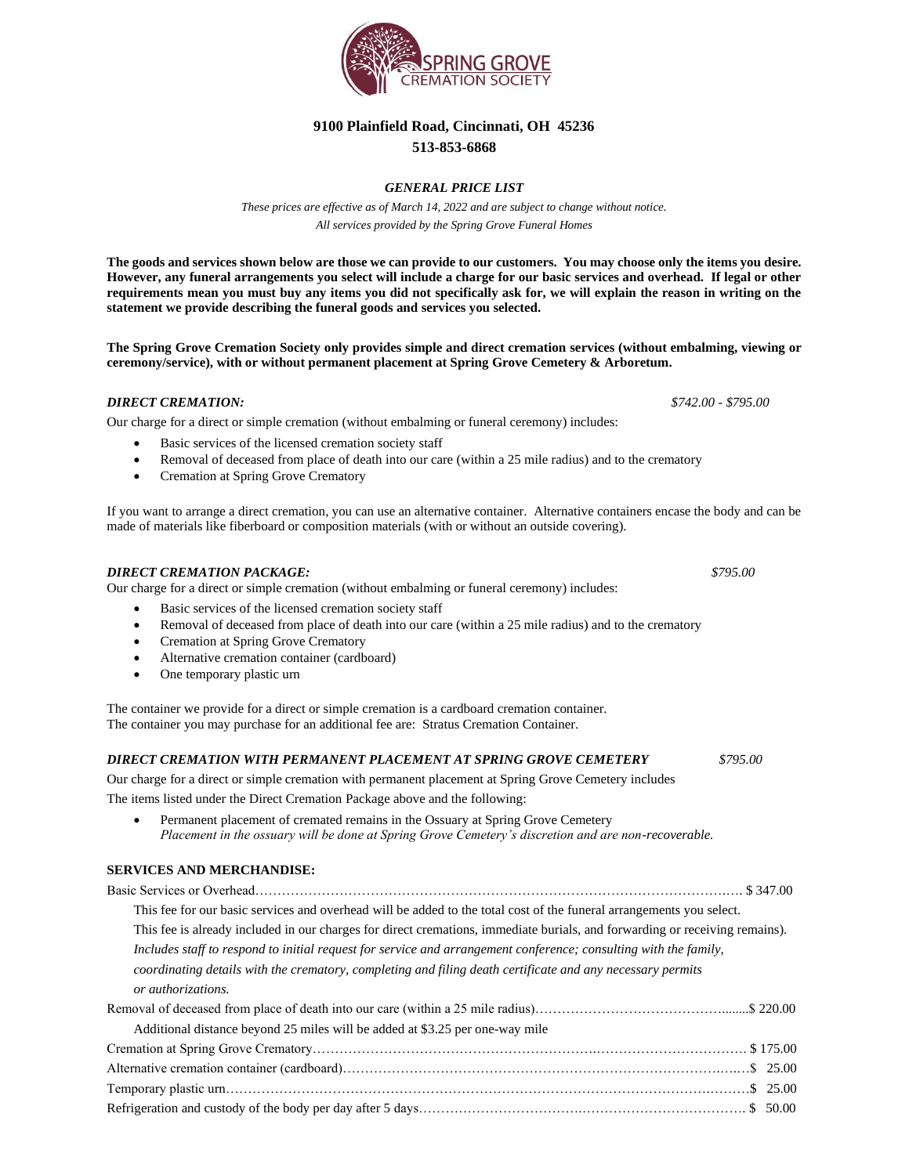

# **9100 Plainfield Road, Cincinnati, OH 45236 513-853-6868**

# *GENERAL PRICE LIST*

*These prices are effective as of March 14, 2022 and are subject to change without notice. All services provided by the Spring Grove Funeral Homes*

**The goods and services shown below are those we can provide to our customers. You may choose only the items you desire. However, any funeral arrangements you select will include a charge for our basic services and overhead. If legal or other requirements mean you must buy any items you did not specifically ask for, we will explain the reason in writing on the statement we provide describing the funeral goods and services you selected.**

**The Spring Grove Cremation Society only provides simple and direct cremation services (without embalming, viewing or ceremony/service), with or without permanent placement at Spring Grove Cemetery & Arboretum.** 

## *DIRECT CREMATION: \$742.00 - \$795.00*

Our charge for a direct or simple cremation (without embalming or funeral ceremony) includes:

- Basic services of the licensed cremation society staff
- Removal of deceased from place of death into our care (within a 25 mile radius) and to the crematory
- Cremation at Spring Grove Crematory

If you want to arrange a direct cremation, you can use an alternative container. Alternative containers encase the body and can be made of materials like fiberboard or composition materials (with or without an outside covering).

#### *DIRECT CREMATION PACKAGE: \$795.00*

Our charge for a direct or simple cremation (without embalming or funeral ceremony) includes:

- Basic services of the licensed cremation society staff
- Removal of deceased from place of death into our care (within a 25 mile radius) and to the crematory
- Cremation at Spring Grove Crematory
- Alternative cremation container (cardboard)
- One temporary plastic urn

The container we provide for a direct or simple cremation is a cardboard cremation container. The container you may purchase for an additional fee are: Stratus Cremation Container.

## *DIRECT CREMATION WITH PERMANENT PLACEMENT AT SPRING GROVE CEMETERY \$795.00*

Our charge for a direct or simple cremation with permanent placement at Spring Grove Cemetery includes

The items listed under the Direct Cremation Package above and the following:

Permanent placement of cremated remains in the Ossuary at Spring Grove Cemetery *Placement in the ossuary will be done at Spring Grove Cemetery's discretion and are non-recoverable.*

#### **SERVICES AND MERCHANDISE:**

| This fee for our basic services and overhead will be added to the total cost of the funeral arrangements you select.                                                                                                                            |  |  |
|-------------------------------------------------------------------------------------------------------------------------------------------------------------------------------------------------------------------------------------------------|--|--|
| This fee is already included in our charges for direct cremations, immediate burials, and forwarding or receiving remains).<br>Includes staff to respond to initial request for service and arrangement conference; consulting with the family, |  |  |
|                                                                                                                                                                                                                                                 |  |  |
| or authorizations.                                                                                                                                                                                                                              |  |  |
|                                                                                                                                                                                                                                                 |  |  |
| Additional distance beyond 25 miles will be added at \$3.25 per one-way mile                                                                                                                                                                    |  |  |
|                                                                                                                                                                                                                                                 |  |  |
|                                                                                                                                                                                                                                                 |  |  |
|                                                                                                                                                                                                                                                 |  |  |
|                                                                                                                                                                                                                                                 |  |  |
|                                                                                                                                                                                                                                                 |  |  |